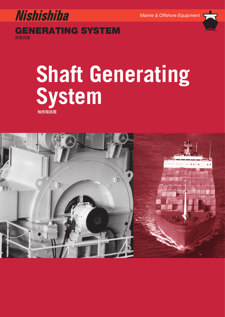

# **System** マンディスクスティブ<br>軸発電装置<br><sub>-</sub> 動発電装置 軸発電装置

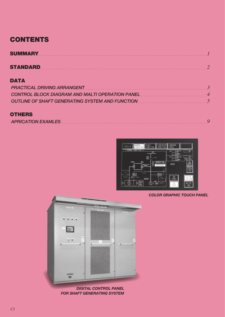# **CONTENTS**

| SUMMARY Experience of the contract of the contract of the contract of the contract of the contract of the contract of the contract of the contract of the contract of the contract of the contract of the contract of the cont |  |
|--------------------------------------------------------------------------------------------------------------------------------------------------------------------------------------------------------------------------------|--|
| <b>STANDARD</b>                                                                                                                                                                                                                |  |

# **DATA**

| CONTROL BLOCK DIAGRAM AND MALTI OPERATION PANEL |  |
|-------------------------------------------------|--|
|                                                 |  |

## **OTHERS**

|--|



*COLOR GRAPHIC TOUCH PANEL*



*DIGITAL CONTROL PANEL FOR SHAFT GENERATING SYSTEM*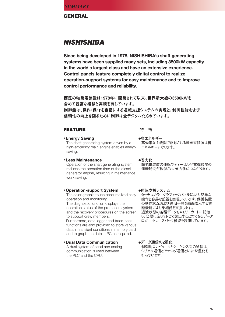**GENERAL**

# *NISHISHIBA*

**Since being developed in 1978, NISHISHIBA's shaft generating systems have been supplied many sets, including 3500kW capacity in the world's largest class and have an extensive experience. Control panels feature completely digital control to realize operation-support systems for easy maintenance and to improve control performance and reliability.**

西芝の軸発電装置は1978年に開発されて以来、世界最大級の3500kWを 含めて豊富な経験と実績を有しています。

制御盤は、操作・保守を容易にする運転支援システムの実現と、制御性能および 信頼性の向上を図るために制御は全デジタル化されています。

#### **FEATURE インキャラ 特徴**

#### **•Energy Saving**

The shaft generating system driven by a high-efficiency main engine enables energy saving.

#### **•Less Maintenance**

Operation of the shaft generating system reduces the operation time of the diesel generator engine, resulting in maintenance work saving.

#### **•Operation-support System**

The color graphic touch panel realized easy operation and monitoring. The diagnostic function displays the operation status of the protection system and the recovery procedures on the screen to support crew members. Furthermore, data logger and trace-back functions are also provided to store various data in transient conditions in memory card and to graph the date in PC as required.

#### **•Dual Data Communication** A dual system of serial and analog communication is used between the PLC and the CPU.

**●省エネルギー** 高効率な主機関で駆動される軸発電装置は省 エネルギーになります。

**●省力化** 軸発電装置の運転でディーゼル発電機機関の 運転時間が軽減され、省力化につながります。

**●運転支援システム** タッチ式カラーグラフィックパネルにより、簡単な 操作と容易な監視を実現しています。保護装置 の動作状況および復旧手順を画面表示する診 断機能により乗組員を支援します。 過渡状態の各種データをメモリーカードに記憶 し、必要に応じてPCで読出すことのできるデータ ロガー・トレースバック機能を装備しています。

**●データ通信の2重化** 制御用コンピュータとシーケンス間の通信は、 シリアル通信とアナログ通信とにより2重化を 行っています。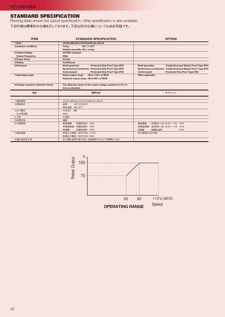## **STANDARD SPECIFICATION**

Fllowing table shows the typical specification, other specification is also available.

下記の表は標準的な仕様を示しております。下記以外の仕様についても対応可能です。

| <b>ITEM</b>                           | <b>STANDARD SPECIFICATION</b>                                 | <b>OPTION</b>                                                  |
|---------------------------------------|---------------------------------------------------------------|----------------------------------------------------------------|
| 1.Rule                                | JG, NK, ABS, BV, CCS, CR, DNV, GL, KR, LR                     |                                                                |
| 2. Ambient conditions                 | 45°C or 50°C<br>Temp.                                         |                                                                |
|                                       | Relative humidity 95% or less                                 |                                                                |
| 3.Output Voltage                      | AC450V 3 phases                                               |                                                                |
| <b>Output Frequency</b>               | 60Hz                                                          |                                                                |
| 4. Power factor                       | 0.8 lag.                                                      |                                                                |
| 5.Rating                              | <b>Continuous</b>                                             |                                                                |
| 6.Enclosure                           | : Protected Drip Proof Type IP22<br>Shaft generator           | : Totally Enclosed Splash Proof Type IP44<br>Shaft generator   |
|                                       | Synchronous Condenser: Protected Drip Proof Type IP22         | Synchronous Condenser: Totally Enclosed Splash Proof Type IP44 |
|                                       | <b>Control panel</b><br>: Protected Drip Proof Type IP22      | <b>Control panel</b><br>: Protected Drip Proof Type IP23       |
| 7. Operating range                    | Rated output range<br>: 80 to 110% of MCR                     | Other applicable                                               |
|                                       | Reduced output range: 60 to 80% of MCR                        |                                                                |
|                                       |                                                               |                                                                |
| 8. Voltage waveform distortion factor | The distortion factor of the output voltage waveform is 5% or |                                                                |
|                                       | less as standard.                                             |                                                                |
|                                       |                                                               |                                                                |
| 項目                                    | 標準仕様                                                          | オプション                                                          |
|                                       |                                                               |                                                                |
| 1.適用規則                                | JG, NK, ABS, BV, CCS, CR, DNV, GL, KR, LR                     |                                                                |
| 2.周囲条件                                | 温度<br>45℃又は50℃                                                |                                                                |
|                                       | 相対湿度 95%以下                                                    |                                                                |
| 3.出力電圧                                | AC450V 3相                                                     |                                                                |
| 出力周波数                                 | 60Hz                                                          |                                                                |
| 4.力率                                  | 0.8遅れ                                                         |                                                                |
| 5.時間定格                                | 連続                                                            |                                                                |
| 6.外被構造                                | 軸発電機<br>: 保護防滴形 IP22                                          | 軸発電機 : 全閉防まつ形、水冷クーラ付 IP44                                      |
|                                       | 同期調相機: 保護防滴形 IP22                                             | 同期調相機:全閉防まつ形,水冷クーラ付<br>IP44                                    |
|                                       | 制御盤<br>:保護防滴形 IP22                                            | 制御盤<br>:保護防滴形<br>IP <sub>23</sub>                              |
| 7.運転範囲                                | 定格出力範囲: MCRの80~110%                                           | 他の範囲も対応可能                                                      |
|                                       | 低減出力範囲: MCRの60~80%                                            |                                                                |

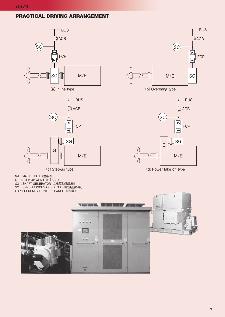#### **PRACTICAL DRIVING ARRANGEMENT**





(c)Step-up type

- M/E : MAIN ENGINE(主機関)
- G : STEP-UP GEAR(増速ギア)
- SG : SHAFT GENERATOR(主機駆動発電機)
- **SC** : SYNCHRONOUS CONDENSER(同期調相機)
- FCP: FREQENCY CONTROL PANEL (制御盤)



BUS ACB ACB  $(SC)$  $\sqrt{\frac{1}{2}}$ FCP FCP  $\frac{1}{2}$  SG G M/E

(d) Power take off type

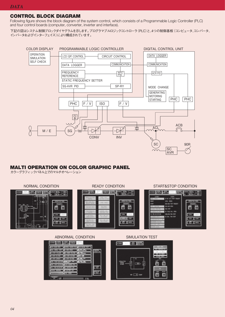#### **CONTROL BLOCK DIAGRAM**

Following figure shows the block diagram of the system control, which consists of a Programmable Logic Controller (PLC) and four control boards (computer, converter, inverter and interface).

下記の図はシステム制御ブロックダイヤグラムを示します。プログラマブルロジックコントローラ(PLC)と、4つの制御基板(コンピュータ、コンバータ、 インバータおよびインターフェイス)により構成されています。



## **MALTI OPERATION ON COLOR GRAPHIC PANEL**

カラーグラフィックパネル上でのマルチオペレーション

#### NORMAL CONDITION READY CONDITION START&STOP CONDITION

#### **BASE SEEDS MA BROT WITH** 999. **NGB**\* (CI) **SPA LESS. SPANN MORRA CARY**<br>ORTA-AT-48V **HORRAC**<br>DIALAC **EX. 992 5040 TO ROOT** ÕÕ ÖŎ õ 同 05408.09 圍 98 519 **SC FIRD IN, O'ON** 000, ING File (709) LOOK. LODGE 帥 200 2162 **START** star and **RR** Dace **RE OVER WIN** OWCO.

#### ABNORMAL CONDITION SIMULATION TEST



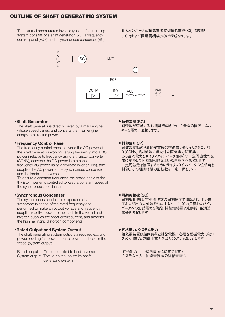### **OUTLINE OF SHAFT GENERATING SYSTEM**

 The external commutated inverter type shaft generating system consists of a shaft generator (SG), a frequency control panel (FCP) and a synchronous condenser (SC). 他励インバータ式軸発電装置は軸発電機(SG)、制御盤 (FCP)および同期調相機(SC)で構成されます。



#### **•Shaft Generator**

The shaft generator is directly driven by a main engine whose speed varies, and converts the main engine energy into electric power.

#### **•Frequency Control Panel**

The frequency control panel converts the AC power of the shaft generator involving varying frequency into a DC power irrelative to frequency using a thyristor converter (CONV), converts the DC power into a constant frequency AC power using a thyristor inverter (INV), and supplies the AC power to the synchronous condenser and the loads in the vessel.

 To ensure a constant frequency, the phase angle of the thyristor inverter is controlled to keep a constant speed of the synchronous condenser.

#### **•Synchronous Condenser**

The synchronous condenser is operated at a synchronous speed of the rated frequency and performed to make an output voltage and frequency, supplies reactive power to the loads in the vessel and inverter, supplies the short-circuit current, and absorbs the high harmonic distortion components.

#### **•Rated Output and System Output**

The shaft generating system outputs a required exciting power, cooling fan power, control power and load in the vessel (system output).

Rated output : Output supplied to load in vessel System output : Total output supplied by shaft generating system

#### ● 軸発電機(SG)

回転数が変動する主機関で駆動され、主機関の回転エネル ギーを電力に変換します。

#### ● 制御盤(FCP)

周波数変動のある軸発電機の交流電力をサイリスタコンバー タ(CONV)で周波数に無関係な直流電力に変換し、 この直流電力をサイリスタインバータ(INV)で一定周波数の交 流に変換して同期調相機および船内負荷へ供給します。 一定周波数を確保するためにサイリスタインバータの位相角を 制御して同期調相機の回転数を一定に保ちます。

#### ● 同期調相機(SC)

同期調相機は、定格周波数の同期速度で運転され、出力電 圧および出力周波数を形成すると共に、船内負荷およびイン バータへの無効電力を供給、持続短絡電流を供給、高調波 成分を吸収します。

● 定格出力、システム出力

軸発電装置は船内負荷と軸発電機に必要な励磁電力、冷却 ファン用電力、制御用電力を出力(システム出力)します。

定格出力 :船内負荷に給電する電力 システム出力:軸発電装置の総給電電力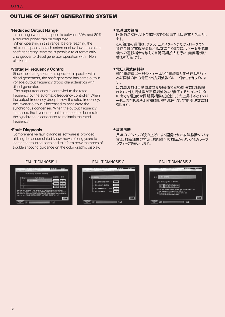## **OUTLINE OF SHAFT GENERATING SYSTEM**

#### **•Reduced Output Range**

In the range where the speed is between 60% and 80%, a reduced power can be outputted.

When operating in this range, before reaching the minimum speed at crash astern or slowdown operation, shaft generating systems is possible to automatically changeover to diesel generator operation with "Non black out".

#### **•Voltage/Frequency Control**

Since the shaft generator is operated in parallel with diesel generators, the shaft generator has same output voltage/output frequency droop characteristics with diesel generator.

 The output frequency is controlled to the rated frequency by the automatic frequency controller. When the output frequency droop below the rated frequency, the inverter output is increased to accelerate the synchronous condenser. When the output frequency increases, the inverter output is reduced to decelerate the synchronous condenser to maintain the rated frequency.

#### **•Fault Diagnosis**

Comprehensive fault diagnosis software is provided utilizing the accumulated know-hows of long years to locate the troubled parts and to inform crew members of trouble shooting guidance on the color graphic display.

#### ● 低減出力領域

回転数が80%以下で60%までの領域では低減電力を出力し ます。

この領域の運用は、クラッシュアスターンまたはスローダウン 操作で軸発電機が最低回転数に至るまでに、ディーゼル発電 機への運転指令を与えて自動同期投入を行い、無停電切り 替えが可能です。

#### ● 電圧/周波数制御

軸発電装置は一般のディーゼル発電装置と並列運転を行う 為に同様の出力電圧/出力周波数ドループ特性を有していま す。

出力周波数は自動周波数制御装置で定格周波数に制御さ れます。出力周波数が定格周波数より低下すると、インバータ の出力を増加させ同期調相機を加速し、また上昇するとインバ ータ出力を低減させ同期調相機を減速して、定格周波数に制 御します。

#### ● 故障診断

長年のノウハウの積み上げにより開発された故障診断ソフトを 備え、故障部位の特定、乗組員への故障ガイダンスをカラーブ ラフィックで表示します。



#### FAULT DIANOSIS-1 FAULT DIANOSIS-2 FAULT DIANOSIS-3

| LIG UNIT IMPORTAL                                                                                                                                                                               |  |
|-------------------------------------------------------------------------------------------------------------------------------------------------------------------------------------------------|--|
| (1)The following UNIT is abnormal.                                                                                                                                                              |  |
| [1 <b>]2   4</b>   5   6   7   8   9   9   9   9                                                                                                                                                |  |
| (2)Turn the "HC44BY CONTROL SOLACE" and "DIDIN' SOLACE" off,<br>then resove and re-install the LO unit.<br>(3)01 no normal condition is resumed after (2),<br>1/0 unit may be fit lured ideelf. |  |
|                                                                                                                                                                                                 |  |
|                                                                                                                                                                                                 |  |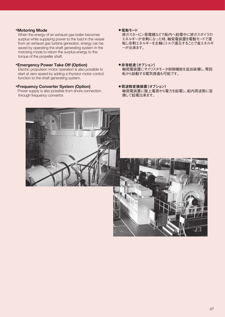#### **•Motoring Mode**

When the energy of an exhaust gas boiler becomes surplus while supplying power to the load in the vessel from an exhaust gas turbine generator, energy can be saved by operating the shaft generating system in the motoring mode to return the surplus energy to the torque of the propeller shaft.

#### **•Emergency Power Take Off (Option)**

Electric propulsion motor operation is also possible to start at zero speed by adding a thyristor motor control function to the shaft generating system.

#### **•Frequency Converter System (Option)**

Power supply is also possible from shore connection through frequency convertor.

#### ● 雷動モード

排ガスタービン発電機などで船内へ給電中に排ガスボイラの エネルギーが余剰になった時、軸発電装置を電動モードで運 転し余剰エネルギーを主軸にトルク還元することで省エネルギ ーが出来ます。

- ●非常航走(オプション) 軸発電装置にサイリスタモータ制御機能を追加装備し、零回 転から始動する電気推進も可能です。
- 周波数変換装置(オプション) 軸発電装置に陸上電源から電力を給電し、船内周波数に変 換して給電出来ます。



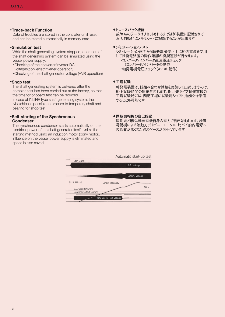#### **•Trace-back Function**

Data of troubles are stored in the controller until reset and can be stored automatically in memory card.

#### **•Simulation test**

While the shaft generating system stopped, operation of the shaft generating system can be simulated using the vessel power supply.

- ・Checking of the converter/inverter DC voltages(converter/inverter operation)
- ・Checking of the shaft generator voltage (AVR operation)

#### **•Shop test**

The shaft generating system is delivered after the combine test has been carried out at the factory, so that the time for onboard test can be reduced.

In case of INLINE type shaft generating system, the Nishishiba is possible to prepare to temporary shaft and bearing for shop test.

#### **•Self-starting of the Synchronous Condenser**

The synchronous condenser starts automatically on the electrical power of the shaft generator itself. Unlike the starting method using an induction motor (pony motor), influence on the vessel power supply is eliminated and space is also saved.

#### ●トレースバック機能

故障時のデータはリセットされるまで制御装置に記憶されて おり、自動的にメモリカードに記録することが出来ます。

#### ●シミュレーションテスト

シミュレーション画面から軸発電機停止中に船内電源を使用 して軸発電装置の動作確認の模擬運転が行なえます。 ・コンバータ/インバータ直流電圧チェック (コンバータ/インバータの動作) ・軸発電機電圧チェック(AVRの動作)

#### ● 工場試験

軸発電装置は、総組み合わせ試験を実施して出荷しますので、 船上試験時間の短縮が図れます。INLINEタイプ軸発電機の 工場試験時には、西芝工場に試験用シャフト、軸受けを準備 することも可能です。

#### ● 同期調相機の自己始動

同期調相機は軸発電機自身の電力で自己始動します。誘導 電動機による始動方式(ポニーモータ)に比べて船内電源へ の影響が無くまた省スペースが図られています。

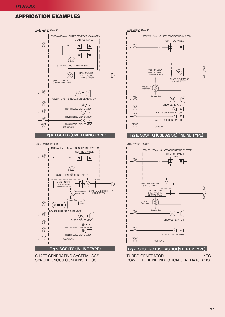## **APPRICATION EXAMPLES**



MAIN SWITCHBOARD



SHAFT GENERATING SYSTEM : SGS SYNCHRONOUS CONDENSER : SC



∣⋠

ACB

#### **Fig c. SGS+TG (INLINE TYPE) Fig d. SGS+T/G (USE AS SC) (STEP UP TYPE)**

TURBO GENERATOR : TG POWER TURBINE INDUCTION GENERATOR : IG